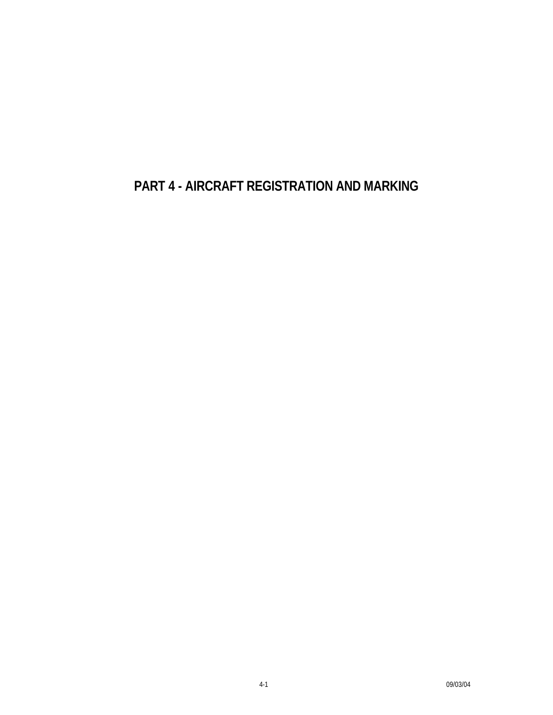**PART 4 - AIRCRAFT REGISTRATION AND MARKING**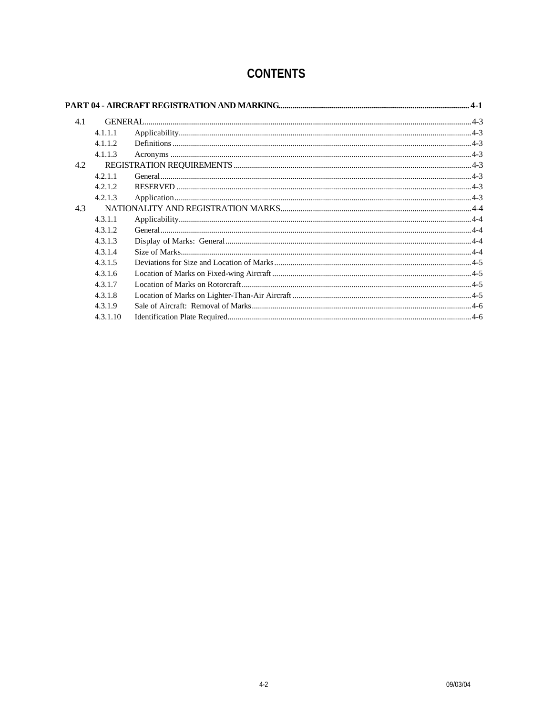| 4.1 |          |  |  |
|-----|----------|--|--|
|     | 4.1.1.1  |  |  |
|     | 4.1.1.2  |  |  |
|     | 4.1.1.3  |  |  |
| 4.2 |          |  |  |
|     | 4.2.1.1  |  |  |
|     | 4.2.1.2  |  |  |
|     | 4.2.1.3  |  |  |
| 4.3 |          |  |  |
|     | 4.3.1.1  |  |  |
|     | 4.3.1.2  |  |  |
|     | 4.3.1.3  |  |  |
|     | 4.3.1.4  |  |  |
|     | 4.3.1.5  |  |  |
|     | 4.3.1.6  |  |  |
|     | 4.3.1.7  |  |  |
|     | 4.3.1.8  |  |  |
|     | 4.3.1.9  |  |  |
|     | 4.3.1.10 |  |  |

# **CONTENTS**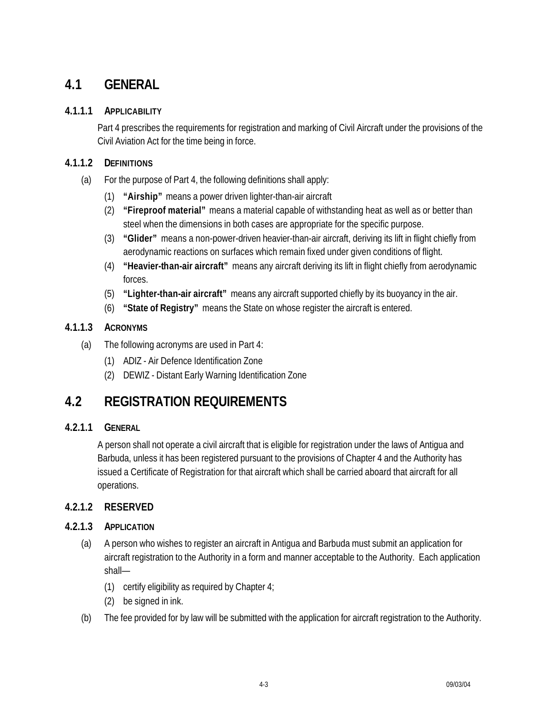## **4.1 GENERAL**

#### **4.1.1.1 APPLICABILITY**

Part 4 prescribes the requirements for registration and marking of Civil Aircraft under the provisions of the Civil Aviation Act for the time being in force.

## **4.1.1.2 DEFINITIONS**

- (a) For the purpose of Part 4, the following definitions shall apply:
	- (1) **"Airship"** means a power driven lighter-than-air aircraft
	- (2) **"Fireproof material"** means a material capable of withstanding heat as well as or better than steel when the dimensions in both cases are appropriate for the specific purpose.
	- (3) **"Glider"** means a non-power-driven heavier-than-air aircraft, deriving its lift in flight chiefly from aerodynamic reactions on surfaces which remain fixed under given conditions of flight.
	- (4) **"Heavier-than-air aircraft"** means any aircraft deriving its lift in flight chiefly from aerodynamic forces.
	- (5) **"Lighter-than-air aircraft"** means any aircraft supported chiefly by its buoyancy in the air.
	- (6) **"State of Registry"** means the State on whose register the aircraft is entered.

## **4.1.1.3 ACRONYMS**

- (a) The following acronyms are used in Part 4:
	- (1) ADIZ Air Defence Identification Zone
	- (2) DEWIZ Distant Early Warning Identification Zone

# **4.2 REGISTRATION REQUIREMENTS**

#### **4.2.1.1 GENERAL**

A person shall not operate a civil aircraft that is eligible for registration under the laws of Antigua and Barbuda, unless it has been registered pursuant to the provisions of Chapter 4 and the Authority has issued a Certificate of Registration for that aircraft which shall be carried aboard that aircraft for all operations.

## **4.2.1.2 RESERVED**

#### **4.2.1.3 APPLICATION**

- (a) A person who wishes to register an aircraft in Antigua and Barbuda must submit an application for aircraft registration to the Authority in a form and manner acceptable to the Authority. Each application shall—
	- (1) certify eligibility as required by Chapter 4;
	- (2) be signed in ink.
- (b) The fee provided for by law will be submitted with the application for aircraft registration to the Authority.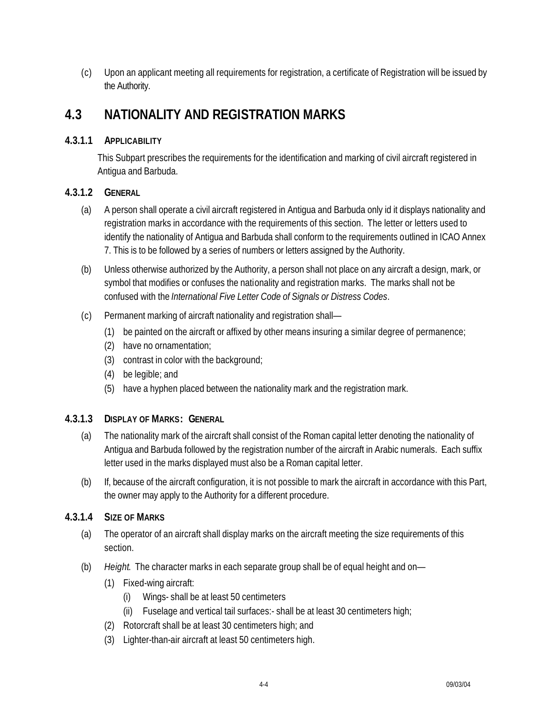(c) Upon an applicant meeting all requirements for registration, a certificate of Registration will be issued by the Authority.

## **4.3 NATIONALITY AND REGISTRATION MARKS**

#### **4.3.1.1 APPLICABILITY**

This Subpart prescribes the requirements for the identification and marking of civil aircraft registered in Antigua and Barbuda.

#### **4.3.1.2 GENERAL**

- (a) A person shall operate a civil aircraft registered in Antigua and Barbuda only id it displays nationality and registration marks in accordance with the requirements of this section. The letter or letters used to identify the nationality of Antigua and Barbuda shall conform to the requirements outlined in ICAO Annex 7. This is to be followed by a series of numbers or letters assigned by the Authority.
- (b) Unless otherwise authorized by the Authority, a person shall not place on any aircraft a design, mark, or symbol that modifies or confuses the nationality and registration marks. The marks shall not be confused with the *International Five Letter Code of Signals or Distress Codes*.
- (c) Permanent marking of aircraft nationality and registration shall—
	- (1) be painted on the aircraft or affixed by other means insuring a similar degree of permanence;
	- (2) have no ornamentation;
	- (3) contrast in color with the background;
	- (4) be legible; and
	- (5) have a hyphen placed between the nationality mark and the registration mark.

#### **4.3.1.3 DISPLAY OF MARKS: GENERAL**

- (a) The nationality mark of the aircraft shall consist of the Roman capital letter denoting the nationality of Antigua and Barbuda followed by the registration number of the aircraft in Arabic numerals. Each suffix letter used in the marks displayed must also be a Roman capital letter.
- (b) If, because of the aircraft configuration, it is not possible to mark the aircraft in accordance with this Part, the owner may apply to the Authority for a different procedure.

#### **4.3.1.4 SIZE OF MARKS**

- (a) The operator of an aircraft shall display marks on the aircraft meeting the size requirements of this section.
- (b) *Height*. The character marks in each separate group shall be of equal height and on—
	- (1) Fixed-wing aircraft:
		- (i) Wings- shall be at least 50 centimeters
		- (ii) Fuselage and vertical tail surfaces:- shall be at least 30 centimeters high;
	- (2) Rotorcraft shall be at least 30 centimeters high; and
	- (3) Lighter-than-air aircraft at least 50 centimeters high.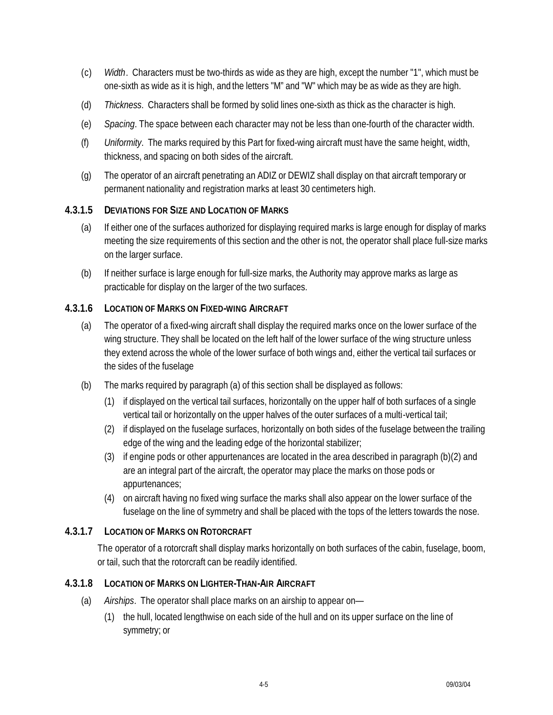- (c) *Width*. Characters must be two-thirds as wide as they are high, except the number "1", which must be one-sixth as wide as it is high, and the letters "M" and "W" which may be as wide as they are high.
- (d) *Thickness*. Characters shall be formed by solid lines one-sixth as thick as the character is high.
- (e) *Spacing*. The space between each character may not be less than one-fourth of the character width.
- (f) *Uniformity*. The marks required by this Part for fixed-wing aircraft must have the same height, width, thickness, and spacing on both sides of the aircraft.
- (g) The operator of an aircraft penetrating an ADIZ or DEWIZ shall display on that aircraft temporary or permanent nationality and registration marks at least 30 centimeters high.

#### **4.3.1.5 DEVIATIONS FOR SIZE AND LOCATION OF MARKS**

- (a) If either one of the surfaces authorized for displaying required marks is large enough for display of marks meeting the size requirements of this section and the other is not, the operator shall place full-size marks on the larger surface.
- (b) If neither surface is large enough for full-size marks, the Authority may approve marks as large as practicable for display on the larger of the two surfaces.

#### **4.3.1.6 LOCATION OF MARKS ON FIXED-WING AIRCRAFT**

- (a) The operator of a fixed-wing aircraft shall display the required marks once on the lower surface of the wing structure. They shall be located on the left half of the lower surface of the wing structure unless they extend across the whole of the lower surface of both wings and, either the vertical tail surfaces or the sides of the fuselage
- (b) The marks required by paragraph (a) of this section shall be displayed as follows:
	- (1) if displayed on the vertical tail surfaces, horizontally on the upper half of both surfaces of a single vertical tail or horizontally on the upper halves of the outer surfaces of a multi-vertical tail;
	- (2) if displayed on the fuselage surfaces, horizontally on both sides of the fuselage between the trailing edge of the wing and the leading edge of the horizontal stabilizer;
	- (3) if engine pods or other appurtenances are located in the area described in paragraph (b)(2) and are an integral part of the aircraft, the operator may place the marks on those pods or appurtenances;
	- (4) on aircraft having no fixed wing surface the marks shall also appear on the lower surface of the fuselage on the line of symmetry and shall be placed with the tops of the letters towards the nose.

#### **4.3.1.7 LOCATION OF MARKS ON ROTORCRAFT**

The operator of a rotorcraft shall display marks horizontally on both surfaces of the cabin, fuselage, boom, or tail, such that the rotorcraft can be readily identified.

#### **4.3.1.8 LOCATION OF MARKS ON LIGHTER-THAN-AIR AIRCRAFT**

- (a) *Airships*. The operator shall place marks on an airship to appear on—
	- (1) the hull, located lengthwise on each side of the hull and on its upper surface on the line of symmetry; or